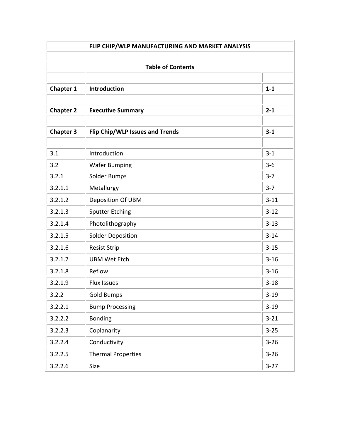|                  | <b>Table of Contents</b>        |          |
|------------------|---------------------------------|----------|
| <b>Chapter 1</b> | <b>Introduction</b>             | $1 - 1$  |
| <b>Chapter 2</b> | <b>Executive Summary</b>        | $2 - 1$  |
| <b>Chapter 3</b> | Flip Chip/WLP Issues and Trends | $3 - 1$  |
| 3.1              | Introduction                    | $3 - 1$  |
| 3.2              | <b>Wafer Bumping</b>            | $3-6$    |
| 3.2.1            | <b>Solder Bumps</b>             | $3 - 7$  |
| 3.2.1.1          | Metallurgy                      | $3 - 7$  |
| 3.2.1.2          | Deposition Of UBM               | $3 - 11$ |
| 3.2.1.3          | <b>Sputter Etching</b>          | $3 - 12$ |
| 3.2.1.4          | Photolithography                | $3 - 13$ |
| 3.2.1.5          | <b>Solder Deposition</b>        | $3 - 14$ |
| 3.2.1.6          | <b>Resist Strip</b>             | $3 - 15$ |
| 3.2.1.7          | <b>UBM Wet Etch</b>             | $3 - 16$ |
| 3.2.1.8          | Reflow                          | $3 - 16$ |
| 3.2.1.9          | <b>Flux Issues</b>              | $3 - 18$ |
| 3.2.2            | <b>Gold Bumps</b>               | $3 - 19$ |
| 3.2.2.1          | <b>Bump Processing</b>          | $3 - 19$ |
| 3.2.2.2          | Bonding                         | $3 - 21$ |
| 3.2.2.3          | Coplanarity                     | $3 - 25$ |
| 3.2.2.4          | Conductivity                    | $3 - 26$ |
| 3.2.2.5          | <b>Thermal Properties</b>       | $3 - 26$ |
| 3.2.2.6          | Size                            | $3-27$   |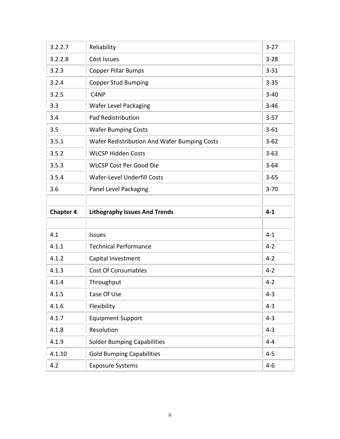| 3.2.2.7          | Reliability                                  | $3 - 27$ |
|------------------|----------------------------------------------|----------|
| 3.2.2.8          | Cost Issues                                  | $3 - 28$ |
| 3.2.3            | <b>Copper Pillar Bumps</b>                   | $3 - 31$ |
| 3.2.4            | <b>Copper Stud Bumping</b>                   | $3 - 35$ |
| 3.2.5            | C <sub>4</sub> NP                            | $3 - 40$ |
| 3.3              | <b>Wafer Level Packaging</b>                 | $3 - 46$ |
| 3.4              | <b>Pad Redistribution</b>                    | $3 - 57$ |
| 3.5              | <b>Wafer Bumping Costs</b>                   | $3 - 61$ |
| 3.5.1            | Wafer Redistribution And Wafer Bumping Costs | $3 - 62$ |
| 3.5.2            | <b>WLCSP Hidden Costs</b>                    | $3 - 63$ |
| 3.5.3            | <b>WLCSP Cost Per Good Die</b>               | $3 - 64$ |
| 3.5.4            | <b>Wafer-Level Underfill Costs</b>           | $3 - 65$ |
| 3.6              | Panel Level Packaging                        | $3 - 70$ |
|                  |                                              |          |
|                  |                                              |          |
| <b>Chapter 4</b> | <b>Lithography Issues And Trends</b>         | $4 - 1$  |
|                  |                                              |          |
| 4.1              | <b>Issues</b>                                | $4 - 1$  |
| 4.1.1            | <b>Technical Performance</b>                 | $4 - 2$  |
| 4.1.2            | Capital Investment                           | $4 - 2$  |
| 4.1.3            | <b>Cost Of Consumables</b>                   | $4 - 2$  |
| 4.1.4            | Throughput                                   | $4 - 2$  |
| 4.1.5            | Ease Of Use                                  | $4 - 3$  |
| 4.1.6            | Flexibility                                  | $4 - 3$  |
| 4.1.7            | <b>Equipment Support</b>                     | $4 - 3$  |
| 4.1.8            | Resolution                                   | $4 - 3$  |
| 4.1.9            | <b>Solder Bumping Capabilities</b>           | $4 - 4$  |
| 4.1.10           | <b>Gold Bumping Capabilities</b>             | $4 - 5$  |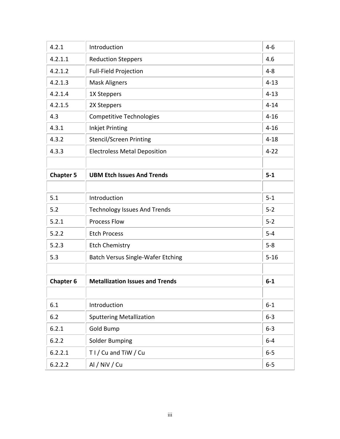| 4.2.1<br>Introduction<br>$4 - 6$<br>4.2.1.1<br>4.6<br><b>Reduction Steppers</b><br>$4 - 8$<br>4.2.1.2<br><b>Full-Field Projection</b><br>4.2.1.3<br><b>Mask Aligners</b><br>$4 - 13$<br>4.2.1.4<br>$4 - 13$<br>1X Steppers<br>$4 - 14$<br>4.2.1.5<br>2X Steppers<br>4.3<br><b>Competitive Technologies</b><br>$4 - 16$<br>4.3.1<br><b>Inkjet Printing</b><br>$4 - 16$<br>4.3.2<br>$4 - 18$<br><b>Stencil/Screen Printing</b><br>4.3.3<br>$4 - 22$<br><b>Electroless Metal Deposition</b><br>$5-1$<br><b>Chapter 5</b><br><b>UBM Etch Issues And Trends</b><br>$5 - 1$<br>5.1<br>Introduction<br>$5 - 2$<br>5.2<br><b>Technology Issues And Trends</b><br><b>Process Flow</b><br>$5 - 2$<br>5.2.1<br>$5-4$<br>5.2.2<br><b>Etch Process</b><br>$5 - 8$<br>5.2.3<br><b>Etch Chemistry</b><br>5.3<br><b>Batch Versus Single-Wafer Etching</b><br>$5 - 16$<br><b>Metallization Issues and Trends</b><br><b>Chapter 6</b><br>$6-1$<br>6.1<br>Introduction<br>$6 - 1$<br>$6 - 3$<br>6.2<br><b>Sputtering Metallization</b><br>6.2.1<br>$6 - 3$<br><b>Gold Bump</b><br>6.2.2<br>$6-4$<br><b>Solder Bumping</b><br>T I / Cu and TiW / Cu<br>$6-5$<br>6.2.2.1<br>Al / NiV / Cu<br>6.2.2.2<br>$6-5$ |  |  |
|------------------------------------------------------------------------------------------------------------------------------------------------------------------------------------------------------------------------------------------------------------------------------------------------------------------------------------------------------------------------------------------------------------------------------------------------------------------------------------------------------------------------------------------------------------------------------------------------------------------------------------------------------------------------------------------------------------------------------------------------------------------------------------------------------------------------------------------------------------------------------------------------------------------------------------------------------------------------------------------------------------------------------------------------------------------------------------------------------------------------------------------------------------------------------------------|--|--|
|                                                                                                                                                                                                                                                                                                                                                                                                                                                                                                                                                                                                                                                                                                                                                                                                                                                                                                                                                                                                                                                                                                                                                                                          |  |  |
|                                                                                                                                                                                                                                                                                                                                                                                                                                                                                                                                                                                                                                                                                                                                                                                                                                                                                                                                                                                                                                                                                                                                                                                          |  |  |
|                                                                                                                                                                                                                                                                                                                                                                                                                                                                                                                                                                                                                                                                                                                                                                                                                                                                                                                                                                                                                                                                                                                                                                                          |  |  |
|                                                                                                                                                                                                                                                                                                                                                                                                                                                                                                                                                                                                                                                                                                                                                                                                                                                                                                                                                                                                                                                                                                                                                                                          |  |  |
|                                                                                                                                                                                                                                                                                                                                                                                                                                                                                                                                                                                                                                                                                                                                                                                                                                                                                                                                                                                                                                                                                                                                                                                          |  |  |
|                                                                                                                                                                                                                                                                                                                                                                                                                                                                                                                                                                                                                                                                                                                                                                                                                                                                                                                                                                                                                                                                                                                                                                                          |  |  |
|                                                                                                                                                                                                                                                                                                                                                                                                                                                                                                                                                                                                                                                                                                                                                                                                                                                                                                                                                                                                                                                                                                                                                                                          |  |  |
|                                                                                                                                                                                                                                                                                                                                                                                                                                                                                                                                                                                                                                                                                                                                                                                                                                                                                                                                                                                                                                                                                                                                                                                          |  |  |
|                                                                                                                                                                                                                                                                                                                                                                                                                                                                                                                                                                                                                                                                                                                                                                                                                                                                                                                                                                                                                                                                                                                                                                                          |  |  |
|                                                                                                                                                                                                                                                                                                                                                                                                                                                                                                                                                                                                                                                                                                                                                                                                                                                                                                                                                                                                                                                                                                                                                                                          |  |  |
|                                                                                                                                                                                                                                                                                                                                                                                                                                                                                                                                                                                                                                                                                                                                                                                                                                                                                                                                                                                                                                                                                                                                                                                          |  |  |
|                                                                                                                                                                                                                                                                                                                                                                                                                                                                                                                                                                                                                                                                                                                                                                                                                                                                                                                                                                                                                                                                                                                                                                                          |  |  |
|                                                                                                                                                                                                                                                                                                                                                                                                                                                                                                                                                                                                                                                                                                                                                                                                                                                                                                                                                                                                                                                                                                                                                                                          |  |  |
|                                                                                                                                                                                                                                                                                                                                                                                                                                                                                                                                                                                                                                                                                                                                                                                                                                                                                                                                                                                                                                                                                                                                                                                          |  |  |
|                                                                                                                                                                                                                                                                                                                                                                                                                                                                                                                                                                                                                                                                                                                                                                                                                                                                                                                                                                                                                                                                                                                                                                                          |  |  |
|                                                                                                                                                                                                                                                                                                                                                                                                                                                                                                                                                                                                                                                                                                                                                                                                                                                                                                                                                                                                                                                                                                                                                                                          |  |  |
|                                                                                                                                                                                                                                                                                                                                                                                                                                                                                                                                                                                                                                                                                                                                                                                                                                                                                                                                                                                                                                                                                                                                                                                          |  |  |
|                                                                                                                                                                                                                                                                                                                                                                                                                                                                                                                                                                                                                                                                                                                                                                                                                                                                                                                                                                                                                                                                                                                                                                                          |  |  |
|                                                                                                                                                                                                                                                                                                                                                                                                                                                                                                                                                                                                                                                                                                                                                                                                                                                                                                                                                                                                                                                                                                                                                                                          |  |  |
|                                                                                                                                                                                                                                                                                                                                                                                                                                                                                                                                                                                                                                                                                                                                                                                                                                                                                                                                                                                                                                                                                                                                                                                          |  |  |
|                                                                                                                                                                                                                                                                                                                                                                                                                                                                                                                                                                                                                                                                                                                                                                                                                                                                                                                                                                                                                                                                                                                                                                                          |  |  |
|                                                                                                                                                                                                                                                                                                                                                                                                                                                                                                                                                                                                                                                                                                                                                                                                                                                                                                                                                                                                                                                                                                                                                                                          |  |  |
|                                                                                                                                                                                                                                                                                                                                                                                                                                                                                                                                                                                                                                                                                                                                                                                                                                                                                                                                                                                                                                                                                                                                                                                          |  |  |
|                                                                                                                                                                                                                                                                                                                                                                                                                                                                                                                                                                                                                                                                                                                                                                                                                                                                                                                                                                                                                                                                                                                                                                                          |  |  |
|                                                                                                                                                                                                                                                                                                                                                                                                                                                                                                                                                                                                                                                                                                                                                                                                                                                                                                                                                                                                                                                                                                                                                                                          |  |  |
|                                                                                                                                                                                                                                                                                                                                                                                                                                                                                                                                                                                                                                                                                                                                                                                                                                                                                                                                                                                                                                                                                                                                                                                          |  |  |
|                                                                                                                                                                                                                                                                                                                                                                                                                                                                                                                                                                                                                                                                                                                                                                                                                                                                                                                                                                                                                                                                                                                                                                                          |  |  |
|                                                                                                                                                                                                                                                                                                                                                                                                                                                                                                                                                                                                                                                                                                                                                                                                                                                                                                                                                                                                                                                                                                                                                                                          |  |  |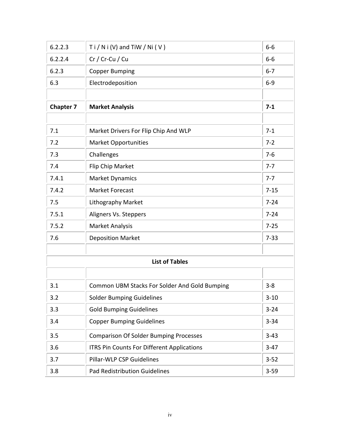| 6.2.2.3          | $Ti/Ni (V)$ and TiW / Ni (V)                         | $6-6$    |
|------------------|------------------------------------------------------|----------|
| 6.2.2.4          | Cr / Cr-Cu / Cu                                      | $6-6$    |
| 6.2.3            | <b>Copper Bumping</b>                                | $6 - 7$  |
| 6.3              | Electrodeposition                                    | $6 - 9$  |
|                  |                                                      |          |
| <b>Chapter 7</b> | <b>Market Analysis</b>                               | $7 - 1$  |
|                  |                                                      |          |
| 7.1              | Market Drivers For Flip Chip And WLP                 | $7 - 1$  |
| 7.2              | <b>Market Opportunities</b>                          | $7 - 2$  |
| 7.3              | Challenges                                           | $7-6$    |
| 7.4              | Flip Chip Market                                     | $7 - 7$  |
| 7.4.1            | <b>Market Dynamics</b>                               | $7 - 7$  |
| 7.4.2            | <b>Market Forecast</b>                               | $7 - 15$ |
| 7.5              | <b>Lithography Market</b>                            | $7 - 24$ |
| 7.5.1            | Aligners Vs. Steppers                                | $7 - 24$ |
| 7.5.2            | <b>Market Analysis</b>                               | $7 - 25$ |
| 7.6              | <b>Deposition Market</b>                             | $7 - 33$ |
|                  |                                                      |          |
|                  | <b>List of Tables</b>                                |          |
|                  |                                                      |          |
| 3.1              | <b>Common UBM Stacks For Solder And Gold Bumping</b> | $3 - 8$  |
| 3.2              | <b>Solder Bumping Guidelines</b>                     | $3 - 10$ |
| 3.3              | <b>Gold Bumping Guidelines</b>                       | $3 - 24$ |
| 3.4              | <b>Copper Bumping Guidelines</b>                     | $3 - 34$ |
| 3.5              | <b>Comparison Of Solder Bumping Processes</b>        | $3 - 43$ |
| 3.6              | <b>ITRS Pin Counts For Different Applications</b>    | $3-47$   |
| 3.7              | <b>Pillar-WLP CSP Guidelines</b>                     | $3 - 52$ |
| 3.8              | <b>Pad Redistribution Guidelines</b>                 | $3 - 59$ |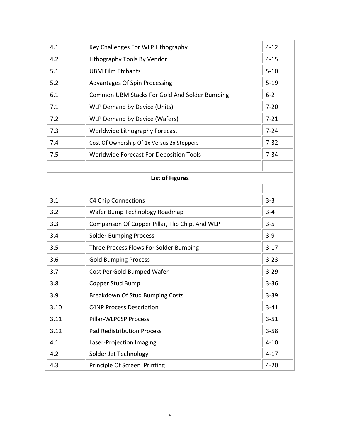| 4.1  | Key Challenges For WLP Lithography              | $4 - 12$ |
|------|-------------------------------------------------|----------|
| 4.2  | Lithography Tools By Vendor                     | $4 - 15$ |
| 5.1  | <b>UBM Film Etchants</b>                        | $5 - 10$ |
| 5.2  | <b>Advantages Of Spin Processing</b>            | $5 - 19$ |
| 6.1  | Common UBM Stacks For Gold And Solder Bumping   | $6 - 2$  |
| 7.1  | <b>WLP Demand by Device (Units)</b>             | $7 - 20$ |
| 7.2  | <b>WLP Demand by Device (Wafers)</b>            | $7 - 21$ |
| 7.3  | Worldwide Lithography Forecast                  | $7 - 24$ |
| 7.4  | Cost Of Ownership Of 1x Versus 2x Steppers      | $7 - 32$ |
| 7.5  | <b>Worldwide Forecast For Deposition Tools</b>  | $7 - 34$ |
|      |                                                 |          |
|      | <b>List of Figures</b>                          |          |
|      |                                                 |          |
| 3.1  | <b>C4 Chip Connections</b>                      | $3 - 3$  |
| 3.2  | Wafer Bump Technology Roadmap                   | $3 - 4$  |
| 3.3  | Comparison Of Copper Pillar, Flip Chip, And WLP | $3 - 5$  |
| 3.4  | <b>Solder Bumping Process</b>                   | $3-9$    |
| 3.5  | Three Process Flows For Solder Bumping          | $3-17$   |
| 3.6  | <b>Gold Bumping Process</b>                     | $3 - 23$ |
| 3.7  | Cost Per Gold Bumped Wafer                      | $3 - 29$ |
| 3.8  | Copper Stud Bump                                | $3 - 36$ |
| 3.9  | <b>Breakdown Of Stud Bumping Costs</b>          | $3 - 39$ |
| 3.10 | <b>C4NP Process Description</b>                 | $3 - 41$ |
| 3.11 | <b>Pillar-WLPCSP Process</b>                    | $3 - 51$ |
| 3.12 | <b>Pad Redistribution Process</b>               | $3 - 58$ |
| 4.1  | Laser-Projection Imaging                        | $4 - 10$ |
| 4.2  | Solder Jet Technology                           | $4 - 17$ |
| 4.3  | Principle Of Screen Printing                    | $4 - 20$ |